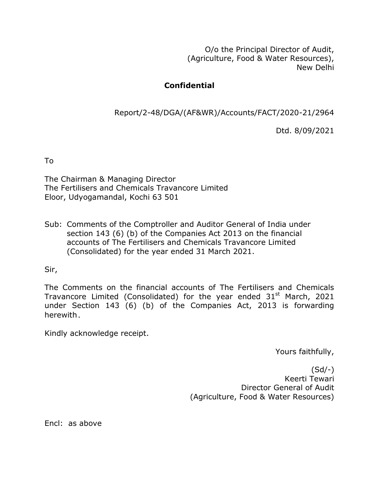O/o the Principal Director of Audit, (Agriculture, Food & Water Resources), New Delhi

# **Confidential**

Report/2-48/DGA/(AF&WR)/Accounts/FACT/2020-21/2964

Dtd. 8/09/2021

To

The Chairman & Managing Director The Fertilisers and Chemicals Travancore Limited Eloor, Udyogamandal, Kochi 63 501

Sub: Comments of the Comptroller and Auditor General of India under section 143 (6) (b) of the Companies Act 2013 on the financial accounts of The Fertilisers and Chemicals Travancore Limited (Consolidated) for the year ended 31 March 2021.

Sir,

The Comments on the financial accounts of The Fertilisers and Chemicals Travancore Limited (Consolidated) for the year ended  $31<sup>st</sup>$  March, 2021 under Section 143 (6) (b) of the Companies Act, 2013 is forwarding herewith.

Kindly acknowledge receipt.

Yours faithfully,

(Sd/-) Keerti Tewari Director General of Audit (Agriculture, Food & Water Resources)

Encl: as above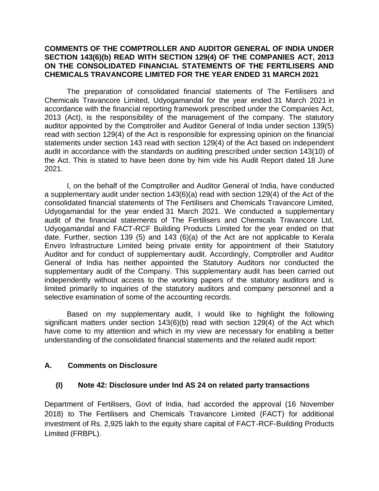#### **COMMENTS OF THE COMPTROLLER AND AUDITOR GENERAL OF INDIA UNDER SECTION 143(6)(b) READ WITH SECTION 129(4) OF THE COMPANIES ACT, 2013 ON THE CONSOLIDATED FINANCIAL STATEMENTS OF THE FERTILISERS AND CHEMICALS TRAVANCORE LIMITED FOR THE YEAR ENDED 31 MARCH 2021**

The preparation of consolidated financial statements of The Fertilisers and Chemicals Travancore Limited, Udyogamandal for the year ended 31 March 2021 in accordance with the financial reporting framework prescribed under the Companies Act, 2013 (Act), is the responsibility of the management of the company. The statutory auditor appointed by the Comptroller and Auditor General of India under section 139(5) read with section 129(4) of the Act is responsible for expressing opinion on the financial statements under section 143 read with section 129(4) of the Act based on independent audit in accordance with the standards on auditing prescribed under section 143(10) of the Act. This is stated to have been done by him vide his Audit Report dated 18 June 2021.

I, on the behalf of the Comptroller and Auditor General of India, have conducted a supplementary audit under section 143(6)(a) read with section 129(4) of the Act of the consolidated financial statements of The Fertilisers and Chemicals Travancore Limited, Udyogamandal for the year ended 31 March 2021. We conducted a supplementary audit of the financial statements of The Fertilisers and Chemicals Travancore Ltd, Udyogamandal and FACT-RCF Building Products Limited for the year ended on that date. Further, section 139 (5) and 143 (6)(a) of the Act are not applicable to Kerala Enviro Infrastructure Limited being private entity for appointment of their Statutory Auditor and for conduct of supplementary audit. Accordingly, Comptroller and Auditor General of India has neither appointed the Statutory Auditors nor conducted the supplementary audit of the Company. This supplementary audit has been carried out independently without access to the working papers of the statutory auditors and is limited primarily to inquiries of the statutory auditors and company personnel and a selective examination of some of the accounting records.

Based on my supplementary audit, I would like to highlight the following significant matters under section 143(6)(b) read with section 129(4) of the Act which have come to my attention and which in my view are necessary for enabling a better understanding of the consolidated financial statements and the related audit report:

## **A. Comments on Disclosure**

#### **(I) Note 42: Disclosure under Ind AS 24 on related party transactions**

Department of Fertilisers, Govt of India, had accorded the approval (16 November 2018) to The Fertilisers and Chemicals Travancore Limited (FACT) for additional investment of Rs. 2,925 lakh to the equity share capital of FACT-RCF-Building Products Limited (FRBPL).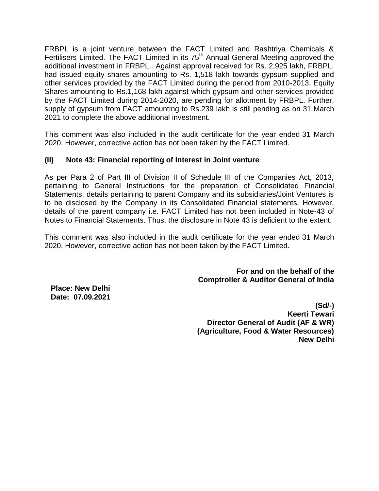FRBPL is a joint venture between the FACT Limited and Rashtriya Chemicals & Fertilisers Limited. The FACT Limited in its 75<sup>th</sup> Annual General Meeting approved the additional investment in FRBPL.. Against approval received for Rs. 2,925 lakh, FRBPL. had issued equity shares amounting to Rs. 1,518 lakh towards gypsum supplied and other services provided by the FACT Limited during the period from 2010-2013. Equity Shares amounting to Rs.1,168 lakh against which gypsum and other services provided by the FACT Limited during 2014-2020, are pending for allotment by FRBPL. Further, supply of gypsum from FACT amounting to Rs.239 lakh is still pending as on 31 March 2021 to complete the above additional investment.

This comment was also included in the audit certificate for the year ended 31 March 2020. However, corrective action has not been taken by the FACT Limited.

### **(II) Note 43: Financial reporting of Interest in Joint venture**

As per Para 2 of Part III of Division II of Schedule III of the Companies Act, 2013, pertaining to General Instructions for the preparation of Consolidated Financial Statements, details pertaining to parent Company and its subsidiaries/Joint Ventures is to be disclosed by the Company in its Consolidated Financial statements. However, details of the parent company i.e. FACT Limited has not been included in Note-43 of Notes to Financial Statements. Thus, the disclosure in Note 43 is deficient to the extent.

This comment was also included in the audit certificate for the year ended 31 March 2020. However, corrective action has not been taken by the FACT Limited.

> **For and on the behalf of the Comptroller & Auditor General of India**

 **Place: New Delhi Date: 07.09.2021** 

> **(Sd/-) Keerti Tewari Director General of Audit (AF & WR) (Agriculture, Food & Water Resources) New Delhi**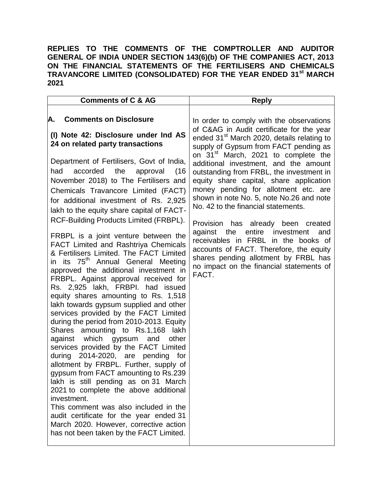#### **REPLIES TO THE COMMENTS OF THE COMPTROLLER AND AUDITOR GENERAL OF INDIA UNDER SECTION 143(6)(b) OF THE COMPANIES ACT, 2013 ON THE FINANCIAL STATEMENTS OF THE FERTILISERS AND CHEMICALS TRAVANCORE LIMITED (CONSOLIDATED) FOR THE YEAR ENDED 31st MARCH 2021**

| <b>Comments of C &amp; AG</b>                                                                                                                                                                                                                                                                                                                                                                                                                                                                                                                                                                                                                                                                                                                                                                                | <b>Reply</b>                                                                                                                                                                                                                                                                                                                                                                                                                                                                                                                                                                                                                                                                                                                                                  |
|--------------------------------------------------------------------------------------------------------------------------------------------------------------------------------------------------------------------------------------------------------------------------------------------------------------------------------------------------------------------------------------------------------------------------------------------------------------------------------------------------------------------------------------------------------------------------------------------------------------------------------------------------------------------------------------------------------------------------------------------------------------------------------------------------------------|---------------------------------------------------------------------------------------------------------------------------------------------------------------------------------------------------------------------------------------------------------------------------------------------------------------------------------------------------------------------------------------------------------------------------------------------------------------------------------------------------------------------------------------------------------------------------------------------------------------------------------------------------------------------------------------------------------------------------------------------------------------|
| <b>Comments on Disclosure</b><br>А.<br>(I) Note 42: Disclosure under Ind AS<br>24 on related party transactions<br>Department of Fertilisers, Govt of India,<br>accorded the<br>had<br>approval<br>(16<br>November 2018) to The Fertilisers and<br>Chemicals Travancore Limited (FACT)<br>for additional investment of Rs. 2,925<br>lakh to the equity share capital of FACT-<br>RCF-Building Products Limited (FRBPL).<br>FRBPL is a joint venture between the<br><b>FACT Limited and Rashtriya Chemicals</b><br>& Fertilisers Limited. The FACT Limited<br>in its 75 <sup>th</sup> Annual General Meeting                                                                                                                                                                                                  | In order to comply with the observations<br>of C&AG in Audit certificate for the year<br>ended 31 <sup>st</sup> March 2020, details relating to<br>supply of Gypsum from FACT pending as<br>on 31 <sup>st</sup> March, 2021 to complete the<br>additional investment, and the amount<br>outstanding from FRBL, the investment in<br>equity share capital, share application<br>money pending for allotment etc. are<br>shown in note No. 5, note No.26 and note<br>No. 42 to the financial statements.<br>Provision has already been created<br>against the<br>entire investment<br>and<br>receivables in FRBL in the books of<br>accounts of FACT. Therefore, the equity<br>shares pending allotment by FRBL has<br>no impact on the financial statements of |
| approved the additional investment in<br>FRBPL. Against approval received for<br>Rs. 2,925 lakh, FRBPI. had issued<br>equity shares amounting to Rs. 1,518<br>lakh towards gypsum supplied and other<br>services provided by the FACT Limited<br>during the period from 2010-2013. Equity<br>Shares amounting to Rs.1,168 lakh<br>against which gypsum and other<br>services provided by the FACT Limited<br>during 2014-2020, are pending for<br>allotment by FRBPL. Further, supply of<br>gypsum from FACT amounting to Rs.239<br>lakh is still pending as on 31<br>March<br>2021 to complete the above additional<br>investment.<br>This comment was also included in the<br>audit certificate for the year ended 31<br>March 2020. However, corrective action<br>has not been taken by the FACT Limited. | FACT.                                                                                                                                                                                                                                                                                                                                                                                                                                                                                                                                                                                                                                                                                                                                                         |